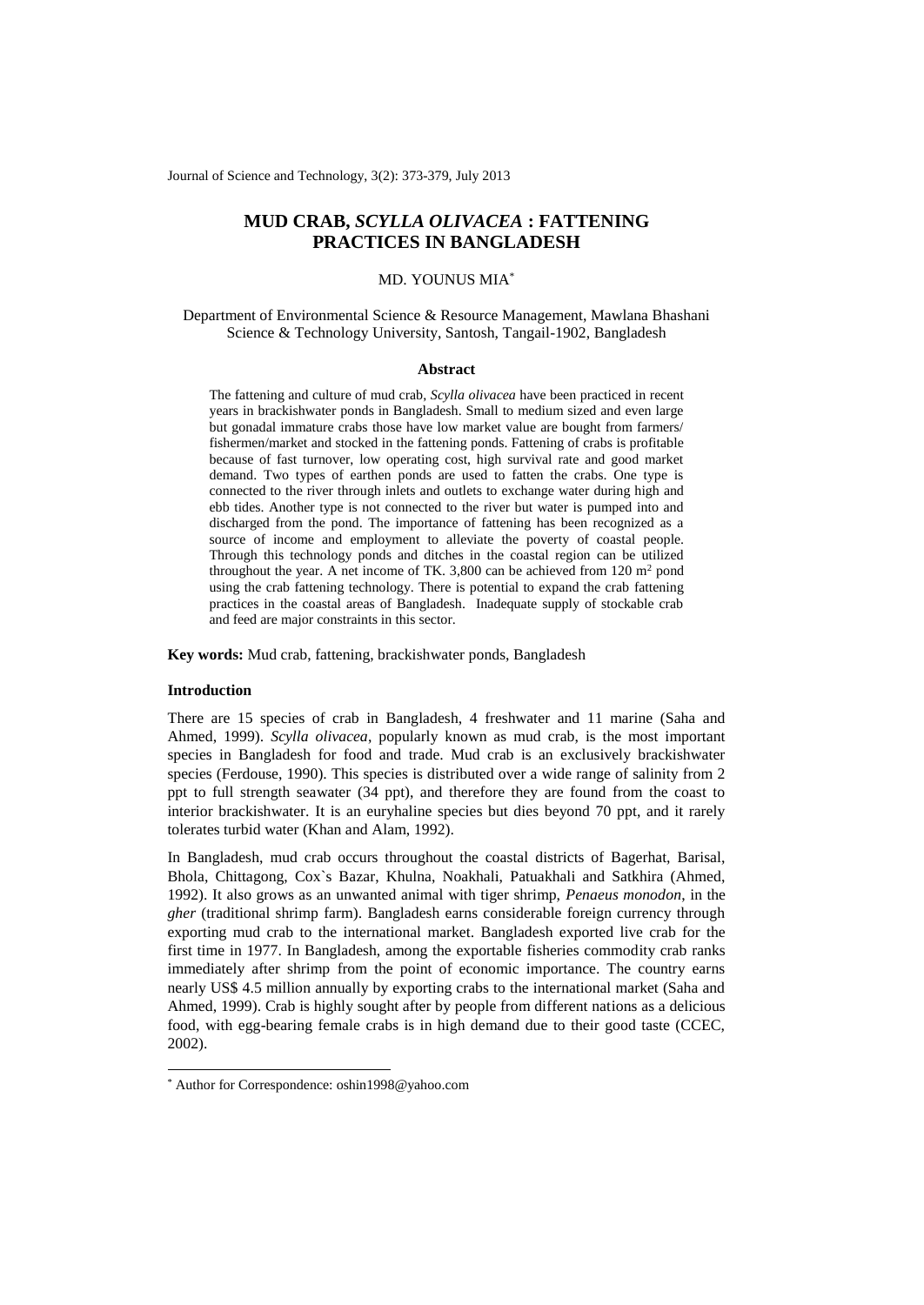Journal of Science and Technology, 3(2): 373-379, July 2013

# **MUD CRAB,** *SCYLLA OLIVACEA* **: FATTENING PRACTICES IN BANGLADESH**

# MD. YOUNUS MIA\*

## Department of Environmental Science & Resource Management, Mawlana Bhashani Science & Technology University, Santosh, Tangail-1902, Bangladesh

#### **Abstract**

The fattening and culture of mud crab, *Scylla olivacea* have been practiced in recent years in brackishwater ponds in Bangladesh. Small to medium sized and even large but gonadal immature crabs those have low market value are bought from farmers/ fishermen/market and stocked in the fattening ponds. Fattening of crabs is profitable because of fast turnover, low operating cost, high survival rate and good market demand. Two types of earthen ponds are used to fatten the crabs. One type is connected to the river through inlets and outlets to exchange water during high and ebb tides. Another type is not connected to the river but water is pumped into and discharged from the pond. The importance of fattening has been recognized as a source of income and employment to alleviate the poverty of coastal people. Through this technology ponds and ditches in the coastal region can be utilized throughout the year. A net income of TK. 3,800 can be achieved from  $120 \text{ m}^2$  pond using the crab fattening technology. There is potential to expand the crab fattening practices in the coastal areas of Bangladesh. Inadequate supply of stockable crab and feed are major constraints in this sector.

**Key words:** Mud crab, fattening, brackishwater ponds, Bangladesh

### **Introduction**

1

There are 15 species of crab in Bangladesh, 4 freshwater and 11 marine (Saha and Ahmed, 1999). *Scylla olivacea*, popularly known as mud crab, is the most important species in Bangladesh for food and trade. Mud crab is an exclusively brackishwater species (Ferdouse, 1990). This species is distributed over a wide range of salinity from 2 ppt to full strength seawater (34 ppt), and therefore they are found from the coast to interior brackishwater. It is an euryhaline species but dies beyond 70 ppt, and it rarely tolerates turbid water (Khan and Alam, 1992).

In Bangladesh, mud crab occurs throughout the coastal districts of Bagerhat, Barisal, Bhola, Chittagong, Cox`s Bazar, Khulna, Noakhali, Patuakhali and Satkhira (Ahmed, 1992). It also grows as an unwanted animal with tiger shrimp, *Penaeus monodon*, in the *gher* (traditional shrimp farm). Bangladesh earns considerable foreign currency through exporting mud crab to the international market. Bangladesh exported live crab for the first time in 1977. In Bangladesh, among the exportable fisheries commodity crab ranks immediately after shrimp from the point of economic importance. The country earns nearly US\$ 4.5 million annually by exporting crabs to the international market (Saha and Ahmed, 1999). Crab is highly sought after by people from different nations as a delicious food, with egg-bearing female crabs is in high demand due to their good taste (CCEC, 2002).

<sup>\*</sup> Author for Correspondence: oshin1998@yahoo.com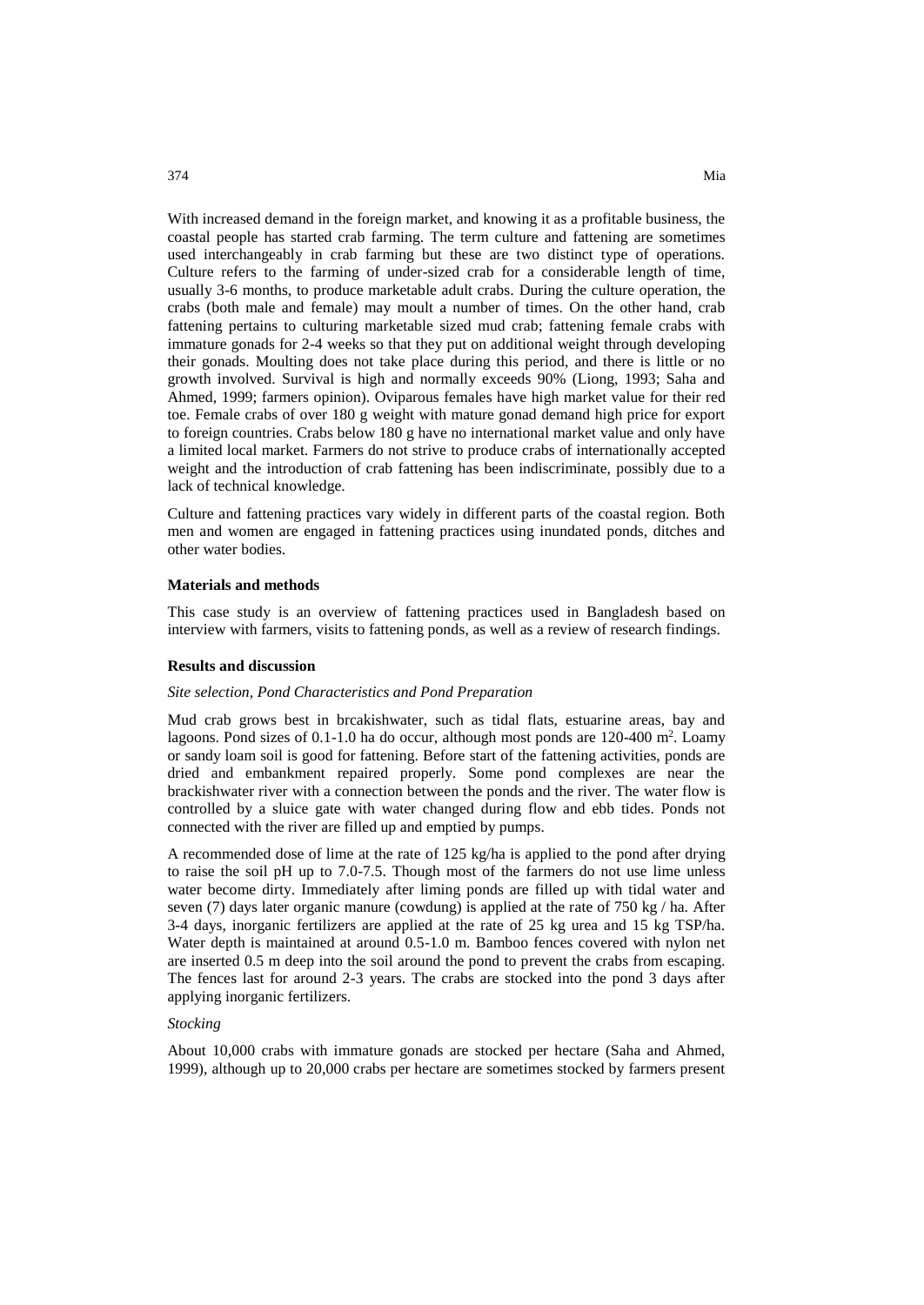With increased demand in the foreign market, and knowing it as a profitable business, the coastal people has started crab farming. The term culture and fattening are sometimes used interchangeably in crab farming but these are two distinct type of operations. Culture refers to the farming of under-sized crab for a considerable length of time, usually 3-6 months, to produce marketable adult crabs. During the culture operation, the crabs (both male and female) may moult a number of times. On the other hand, crab fattening pertains to culturing marketable sized mud crab; fattening female crabs with immature gonads for 2-4 weeks so that they put on additional weight through developing their gonads. Moulting does not take place during this period, and there is little or no growth involved. Survival is high and normally exceeds 90% (Liong, 1993; Saha and Ahmed, 1999; farmers opinion). Oviparous females have high market value for their red toe. Female crabs of over 180 g weight with mature gonad demand high price for export to foreign countries. Crabs below 180 g have no international market value and only have a limited local market. Farmers do not strive to produce crabs of internationally accepted weight and the introduction of crab fattening has been indiscriminate, possibly due to a lack of technical knowledge.

Culture and fattening practices vary widely in different parts of the coastal region. Both men and women are engaged in fattening practices using inundated ponds, ditches and other water bodies.

#### **Materials and methods**

This case study is an overview of fattening practices used in Bangladesh based on interview with farmers, visits to fattening ponds, as well as a review of research findings.

#### **Results and discussion**

#### *Site selection, Pond Characteristics and Pond Preparation*

Mud crab grows best in brcakishwater, such as tidal flats, estuarine areas, bay and lagoons. Pond sizes of  $0.1$ -1.0 ha do occur, although most ponds are  $120$ -400 m<sup>2</sup>. Loamy or sandy loam soil is good for fattening. Before start of the fattening activities, ponds are dried and embankment repaired properly. Some pond complexes are near the brackishwater river with a connection between the ponds and the river. The water flow is controlled by a sluice gate with water changed during flow and ebb tides. Ponds not connected with the river are filled up and emptied by pumps.

A recommended dose of lime at the rate of 125 kg/ha is applied to the pond after drying to raise the soil pH up to 7.0-7.5. Though most of the farmers do not use lime unless water become dirty. Immediately after liming ponds are filled up with tidal water and seven (7) days later organic manure (cowdung) is applied at the rate of 750 kg / ha. After 3-4 days, inorganic fertilizers are applied at the rate of 25 kg urea and 15 kg TSP/ha. Water depth is maintained at around 0.5-1.0 m. Bamboo fences covered with nylon net are inserted 0.5 m deep into the soil around the pond to prevent the crabs from escaping. The fences last for around 2-3 years. The crabs are stocked into the pond 3 days after applying inorganic fertilizers.

### *Stocking*

About 10,000 crabs with immature gonads are stocked per hectare (Saha and Ahmed, 1999), although up to 20,000 crabs per hectare are sometimes stocked by farmers present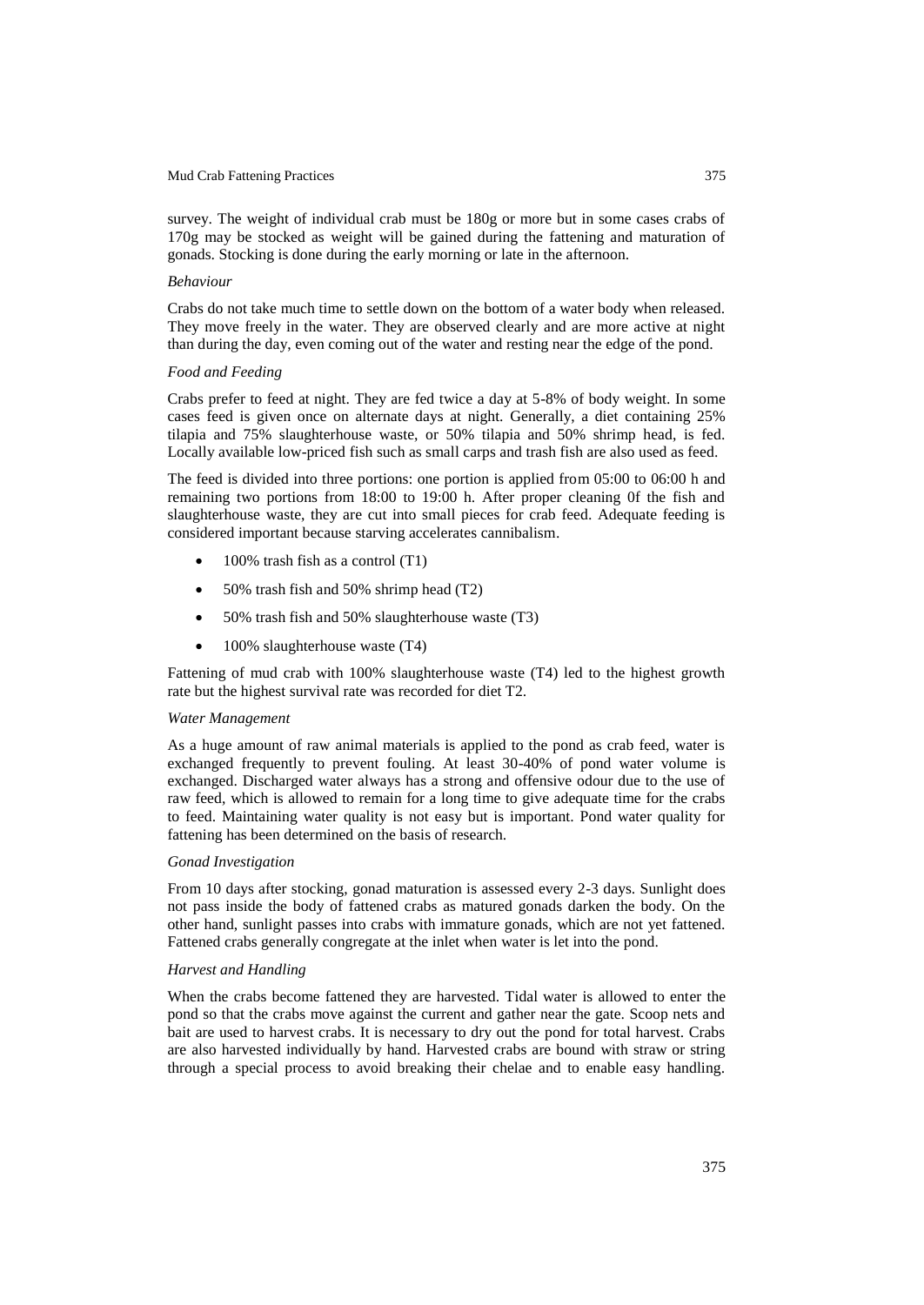### Mud Crab Fattening Practices 375

survey. The weight of individual crab must be 180g or more but in some cases crabs of 170g may be stocked as weight will be gained during the fattening and maturation of gonads. Stocking is done during the early morning or late in the afternoon.

#### *Behaviour*

Crabs do not take much time to settle down on the bottom of a water body when released. They move freely in the water. They are observed clearly and are more active at night than during the day, even coming out of the water and resting near the edge of the pond.

### *Food and Feeding*

Crabs prefer to feed at night. They are fed twice a day at 5-8% of body weight. In some cases feed is given once on alternate days at night. Generally, a diet containing 25% tilapia and 75% slaughterhouse waste, or 50% tilapia and 50% shrimp head, is fed. Locally available low-priced fish such as small carps and trash fish are also used as feed.

The feed is divided into three portions: one portion is applied from 05:00 to 06:00 h and remaining two portions from 18:00 to 19:00 h. After proper cleaning 0f the fish and slaughterhouse waste, they are cut into small pieces for crab feed. Adequate feeding is considered important because starving accelerates cannibalism.

- 100% trash fish as a control (T1)
- 50% trash fish and 50% shrimp head (T2)
- 50% trash fish and 50% slaughterhouse waste (T3)
- 100% slaughterhouse waste (T4)

Fattening of mud crab with 100% slaughterhouse waste (T4) led to the highest growth rate but the highest survival rate was recorded for diet T2.

### *Water Management*

As a huge amount of raw animal materials is applied to the pond as crab feed, water is exchanged frequently to prevent fouling. At least 30-40% of pond water volume is exchanged. Discharged water always has a strong and offensive odour due to the use of raw feed, which is allowed to remain for a long time to give adequate time for the crabs to feed. Maintaining water quality is not easy but is important. Pond water quality for fattening has been determined on the basis of research.

### *Gonad Investigation*

From 10 days after stocking, gonad maturation is assessed every 2-3 days. Sunlight does not pass inside the body of fattened crabs as matured gonads darken the body. On the other hand, sunlight passes into crabs with immature gonads, which are not yet fattened. Fattened crabs generally congregate at the inlet when water is let into the pond.

#### *Harvest and Handling*

When the crabs become fattened they are harvested. Tidal water is allowed to enter the pond so that the crabs move against the current and gather near the gate. Scoop nets and bait are used to harvest crabs. It is necessary to dry out the pond for total harvest. Crabs are also harvested individually by hand. Harvested crabs are bound with straw or string through a special process to avoid breaking their chelae and to enable easy handling.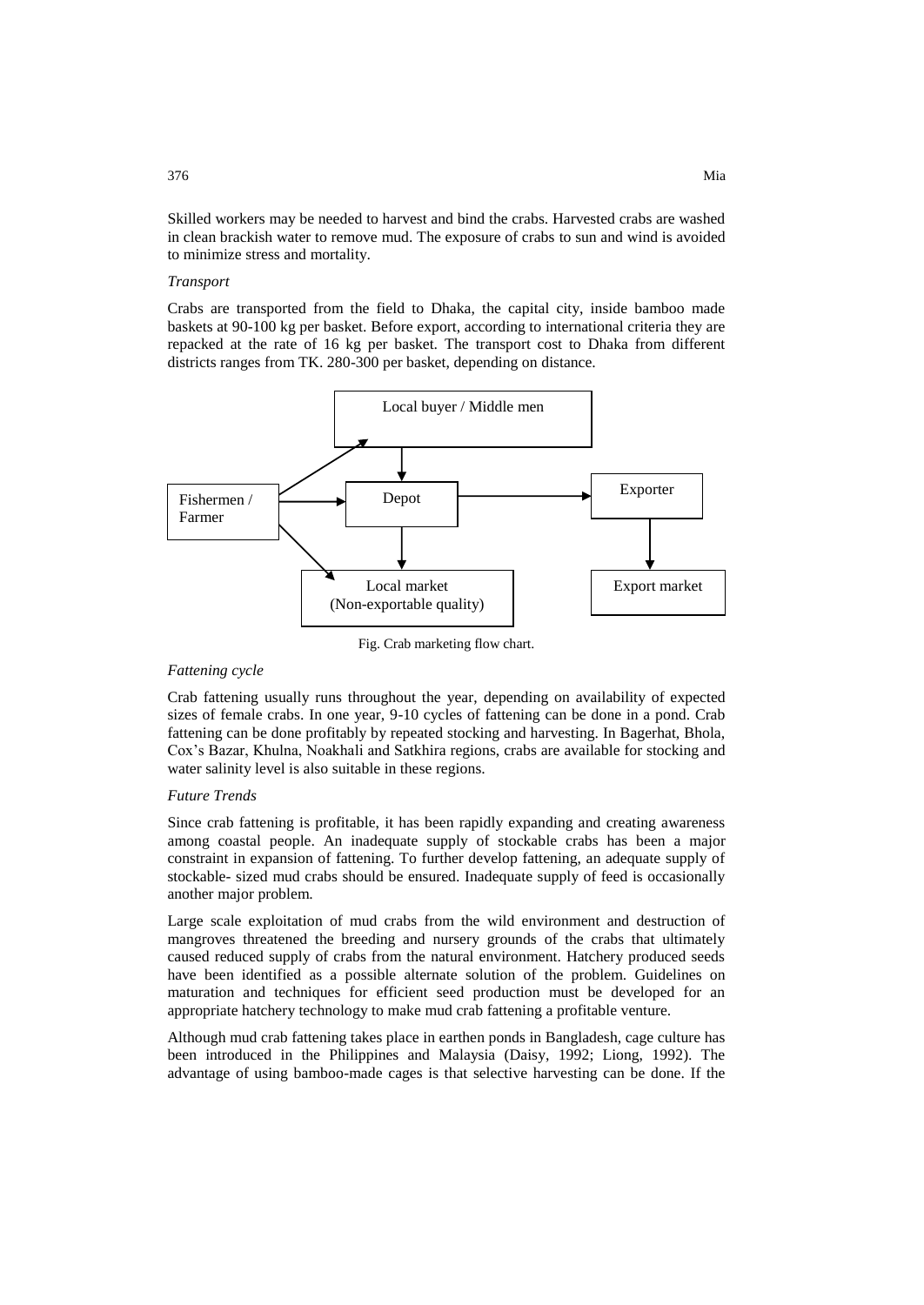Skilled workers may be needed to harvest and bind the crabs. Harvested crabs are washed in clean brackish water to remove mud. The exposure of crabs to sun and wind is avoided to minimize stress and mortality.

## *Transport*

Crabs are transported from the field to Dhaka, the capital city, inside bamboo made baskets at 90-100 kg per basket. Before export, according to international criteria they are repacked at the rate of 16 kg per basket. The transport cost to Dhaka from different districts ranges from TK. 280-300 per basket, depending on distance.



Fig. Crab marketing flow chart.

### *Fattening cycle*

Crab fattening usually runs throughout the year, depending on availability of expected sizes of female crabs. In one year, 9-10 cycles of fattening can be done in a pond. Crab fattening can be done profitably by repeated stocking and harvesting. In Bagerhat, Bhola, Cox's Bazar, Khulna, Noakhali and Satkhira regions, crabs are available for stocking and water salinity level is also suitable in these regions.

### *Future Trends*

Since crab fattening is profitable, it has been rapidly expanding and creating awareness among coastal people. An inadequate supply of stockable crabs has been a major constraint in expansion of fattening. To further develop fattening, an adequate supply of stockable- sized mud crabs should be ensured. Inadequate supply of feed is occasionally another major problem.

Large scale exploitation of mud crabs from the wild environment and destruction of mangroves threatened the breeding and nursery grounds of the crabs that ultimately caused reduced supply of crabs from the natural environment. Hatchery produced seeds have been identified as a possible alternate solution of the problem. Guidelines on maturation and techniques for efficient seed production must be developed for an appropriate hatchery technology to make mud crab fattening a profitable venture.

Although mud crab fattening takes place in earthen ponds in Bangladesh, cage culture has been introduced in the Philippines and Malaysia (Daisy, 1992; Liong, 1992). The advantage of using bamboo-made cages is that selective harvesting can be done. If the

376 Mia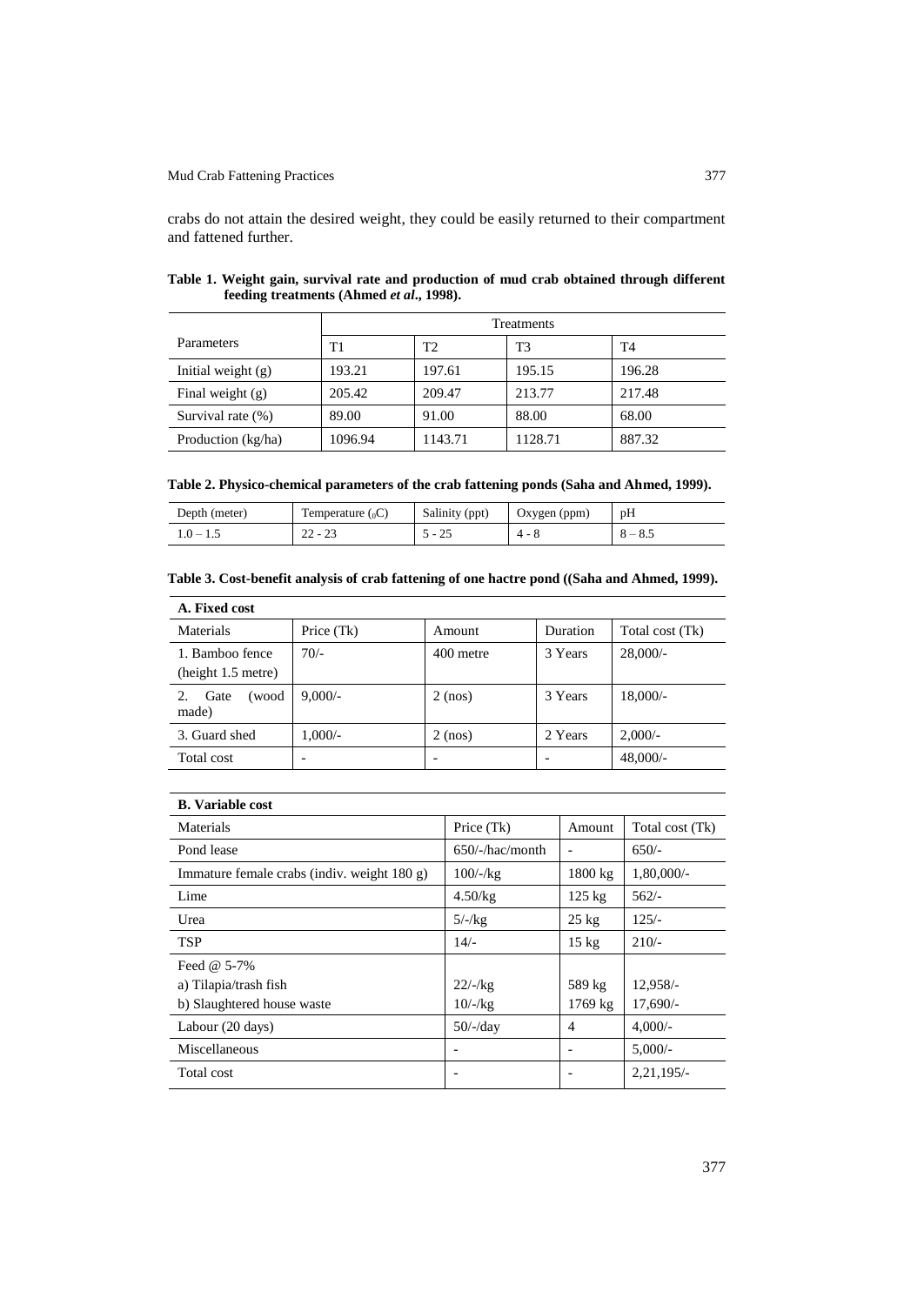crabs do not attain the desired weight, they could be easily returned to their compartment and fattened further.

|                      | Treatments |         |                |        |  |  |
|----------------------|------------|---------|----------------|--------|--|--|
| Parameters           | T1         | T2      | T <sub>3</sub> | T4     |  |  |
| Initial weight $(g)$ | 193.21     | 197.61  | 195.15         | 196.28 |  |  |
| Final weight $(g)$   | 205.42     | 209.47  | 213.77         | 217.48 |  |  |
| Survival rate (%)    | 89.00      | 91.00   | 88.00          | 68.00  |  |  |
| Production (kg/ha)   | 1096.94    | 1143.71 | 1128.71        | 887.32 |  |  |

|  |  |  | Table 1. Weight gain, survival rate and production of mud crab obtained through different |  |  |  |
|--|--|--|-------------------------------------------------------------------------------------------|--|--|--|
|  |  |  | feeding treatments (Ahmed <i>et al.</i> , 1998).                                          |  |  |  |

| Table 2. Physico-chemical parameters of the crab fattening ponds (Saha and Ahmed, 1999). |  |  |  |
|------------------------------------------------------------------------------------------|--|--|--|
|                                                                                          |  |  |  |

| Depth (meter) | Temperature $(_0C)$ | Salinity (ppt) | Oxygen (ppm) | pH         |
|---------------|---------------------|----------------|--------------|------------|
| $1.0 - 1.5$   | $22 - 23$           | 25             | 4 - 8        | $-\circ$ . |

|  |  | Table 3. Cost-benefit analysis of crab fattening of one hactre pond ((Saha and Ahmed, 1999). |  |
|--|--|----------------------------------------------------------------------------------------------|--|
|  |  |                                                                                              |  |

| A. Fixed cost                         |            |                   |          |                 |
|---------------------------------------|------------|-------------------|----------|-----------------|
| Materials                             | Price (Tk) | Amount            | Duration | Total cost (Tk) |
| 1. Bamboo fence<br>(height 1.5 metre) | $70/-$     | 400 metre         | 3 Years  | 28,000/         |
| 2.<br>Gate<br>(wood<br>made)          | $9,000/-$  | $2 \text{ (nos)}$ | 3 Years  | $18,000/-$      |
| 3. Guard shed                         | $1,000/-$  | $2 \text{ (nos)}$ | 2 Years  | $2,000/-$       |
| Total cost                            |            |                   |          | $48,000/-$      |

# **B. Variable cost**

| Materials                                      | Price (Tk)                   | Amount            | Total cost (Tk) |
|------------------------------------------------|------------------------------|-------------------|-----------------|
| Pond lease                                     | $650/-/hac/month$            |                   | $650/-$         |
| Immature female crabs (indiv. weight $180 g$ ) | $100/-$ / $kg$               | 1800 kg           | 1,80,000/-      |
| Lime                                           | $4.50$ /kg                   | $125 \text{ kg}$  | $562/-$         |
| Urea                                           | $5/-/kg$                     | $25 \text{ kg}$   | $125/-$         |
| <b>TSP</b>                                     | $14/-$                       | $15 \text{ kg}$   | $210/-$         |
| Feed $\omega$ 5-7%                             |                              |                   |                 |
| a) Tilapia/trash fish                          | $22/-$ / $kg$                | 589 kg            | 12,958/-        |
| b) Slaughtered house waste                     | $10/-/kg$                    | $1769 \text{ kg}$ | 17,690/-        |
| Labour (20 days)                               | $50/-$ /day                  | 4                 | $4,000/-$       |
| Miscellaneous                                  | $\qquad \qquad \blacksquare$ |                   | $5.000/-$       |
| Total cost                                     |                              |                   | 2,21,195/       |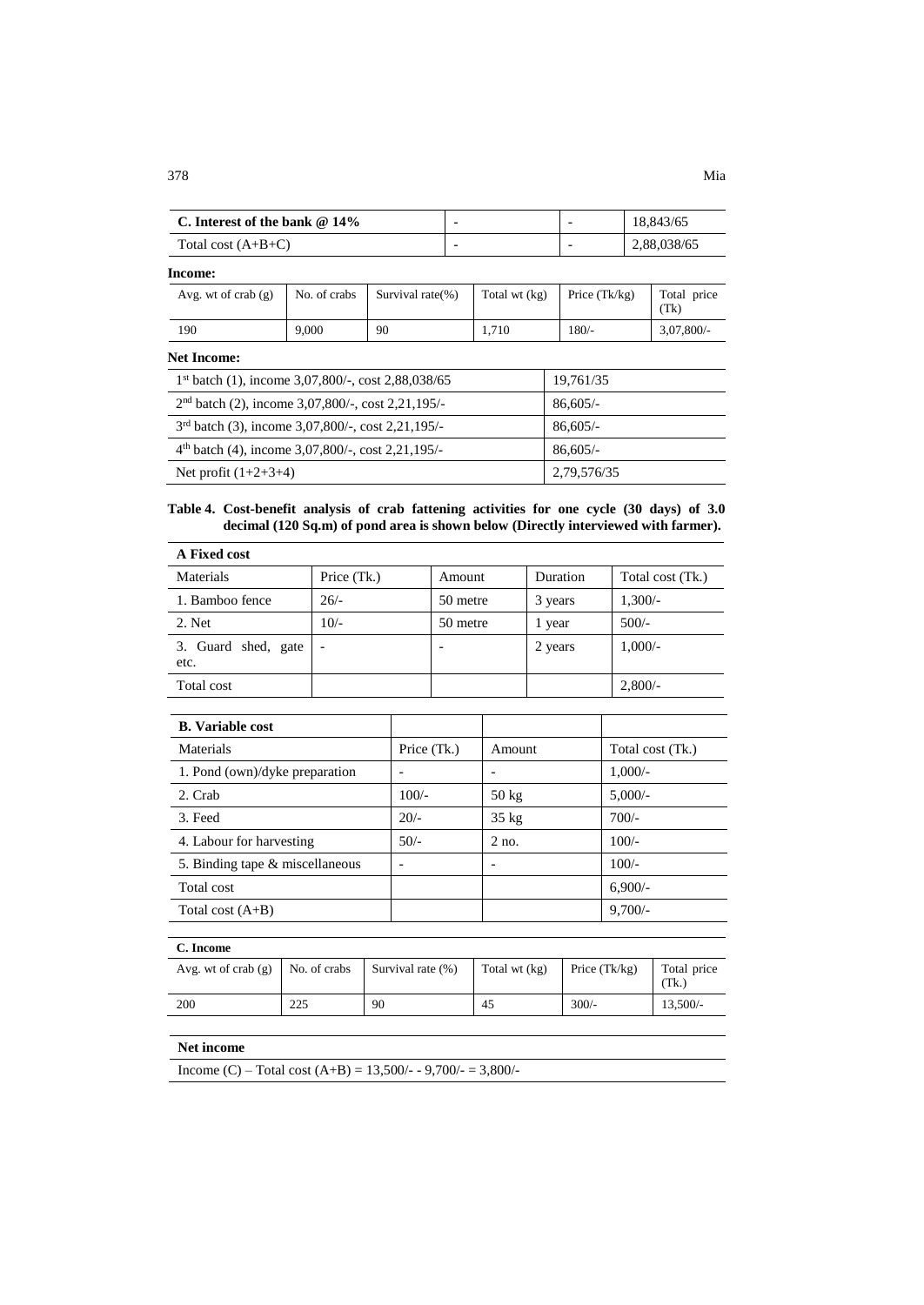| C. Interest of the bank $@14\%$ | - | 18.843/65   |
|---------------------------------|---|-------------|
| Total cost $(A+B+C)$            | - | 2,88,038/65 |

### **Income:**

| Avg. wt of crab $(g)$ | No. of crabs | Survival rate(%) | Total wt (kg) | Price $(Tk/kg)$ | Total price<br>Tk) |
|-----------------------|--------------|------------------|---------------|-----------------|--------------------|
| 190                   | 9,000        | 90               | 1.710         | $180/-$         | $3,07,800/$ -      |

## **Net Income:**

| 1 <sup>st</sup> batch (1), income 3,07,800/-, cost 2,88,038/65 | 19,761/35   |
|----------------------------------------------------------------|-------------|
| 2 <sup>nd</sup> batch (2), income 3,07,800/-, cost 2,21,195/-  | $86,605/-$  |
| 3rd batch (3), income 3,07,800/-, cost 2,21,195/-              | $86,605/-$  |
| 4 <sup>th</sup> batch (4), income 3,07,800/-, cost 2,21,195/-  | $86,605/-$  |
| Net profit $(1+2+3+4)$                                         | 2,79,576/35 |

#### **Table 4. Cost-benefit analysis of crab fattening activities for one cycle (30 days) of 3.0 decimal (120 Sq.m) of pond area is shown below (Directly interviewed with farmer).**

| A Fixed cost                |             |          |          |                  |
|-----------------------------|-------------|----------|----------|------------------|
| Materials                   | Price (Tk.) | Amount   | Duration | Total cost (Tk.) |
| 1. Bamboo fence             | $26/-$      | 50 metre | 3 years  | $1,300/-$        |
| 2. Net                      | $10/-$      | 50 metre | l year   | $500/-$          |
| 3. Guard shed, gate<br>etc. |             |          | 2 years  | $1,000/-$        |
| Total cost                  |             |          |          | 2,800/           |

| <b>B.</b> Variable cost         |             |                 |                  |
|---------------------------------|-------------|-----------------|------------------|
| Materials                       | Price (Tk.) | Amount          | Total cost (Tk.) |
| 1. Pond (own)/dyke preparation  |             |                 | $1,000/-$        |
| 2. Crab                         | $100/-$     | $50 \text{ kg}$ | $5,000/-$        |
| 3. Feed                         | $20/-$      | $35 \text{ kg}$ | $700/-$          |
| 4. Labour for harvesting        | $50/-$      | $2$ no.         | $100/-$          |
| 5. Binding tape & miscellaneous |             | ۰               | $100/-$          |
| Total cost                      |             |                 | $6,900/-$        |
| Total cost $(A+B)$              |             |                 | $9,700/-$        |

# **C. Income**

| Avg. wt of crab $(g)$ | No. of crabs | Survival rate (%) | Total wt (kg) | Price $(Tk/kg)$ | Total price<br>Tk.` |
|-----------------------|--------------|-------------------|---------------|-----------------|---------------------|
| 200                   | າາ-<br>22J   | 90                | 45            | $300/-$         | $13.500/-$          |
|                       |              |                   |               |                 |                     |

# **Net income**

Income (C) – Total cost  $(A+B) = 13,500/ - -9,700/ - =3,800/ -$